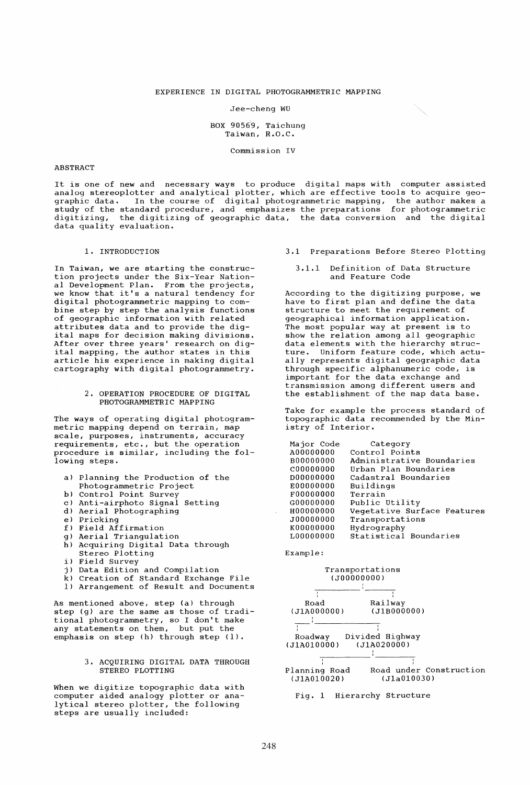### EXPERIENCE IN DIGITAL PHOTOGRAMMETRIC MAPPING

#### Jee-cheng WU

### BOX  $90569$ , Taichung Taiwan, R.O.C.

Commission IV

#### ABSTRACT

It is one of new and necessary ways to produce digital maps with computer assisted analog stereoplotter and analytical plotter, which are effective tools to acquire geographic data. In the course of digital photogrammetric mapping, the author makes a study of the standard procedure, and emphasizes the preparations for photogrammetric digitizing, the digitizing of geographic data, the data conversion and the digital data quality evaluation.

#### 1. INTRODUCTION

In Taiwan, we are starting the construction projects under the Six-Year National Development Plan. From the projects, we know that it's a natural tendency for digital photogrammetric mapping to combine step by step the analysis functions of geographic information with related attributes data and to provide the digital maps for decision making divisions. After over three years' research on digital mapping, the author states in this article his experience in making digital cartography with digital photogrammetry.

## 2. OPERATION PROCEDURE OF DIGITAL PHOTOGRAMMETRIC MAPPING

The ways of operating digital photogrammetric mapping depend on terrain, map scale, purposes, instruments, accuracy requirements, etc., but the operation procedure is similar, including the following steps.

- a) Planning the Production of the Photogrammetric Project
- b) Control Point Survey
- c) Anti-airphoto Signal Setting
- d) Aerial Photographing
- e) Pricking
- f) Field Affirmation
- g) Aerial Triangulation
- h) Acquiring Digital Data through Stereo Plotting
- i) Field Survey
- j) Data Edition and Compilation
- k) Creation of Standard Exchange File
- 1) Arrangement of Result and Documents

As mentioned above, step (a) through step (g) are the same as those of traditional photogrammetry, so I don't make any statements on them, but put the emphasis on step (h) through step (1).

### 3. ACQUIRING DIGITAL DATA THROUGH STEREO PLOTTING

When we digitize topographic data with computer aided analogy plotter or analytical stereo plotter, the following steps are usually included:

- 3.1 Preparations Before Stereo Plotting
	- 3.1.1 Definition of Data Structure and Feature Code

According to the digitizing purpose, we have to first plan and define the data structure to meet the requirement of geographical information application. The most popular way at present is to show the relation among all geographic data elements with the hierarchy structure. Uniform feature code, which actually represents digital geographic data through specific alphanumeric code, is important for the data exchange and transmission among different users and the establishment of the map data base.

Take for example the process standard of topographic data recommended by the Ministry of Interior.

| Major Code | Category                    |
|------------|-----------------------------|
| A00000000  | Control Points              |
| B00000000  | Administrative Boundaries   |
| C00000000  | Urban Plan Boundaries       |
| D00000000  | Cadastral Boundaries        |
| E00000000  | Buildings                   |
| F00000000  | Terrain                     |
| G00000000  | Public Utility              |
| H00000000  | Vegetative Surface Features |
| J00000000  | Transportations             |
| K00000000  | Hydrography                 |
| L00000000  | Statistical Boundaries      |

Example:

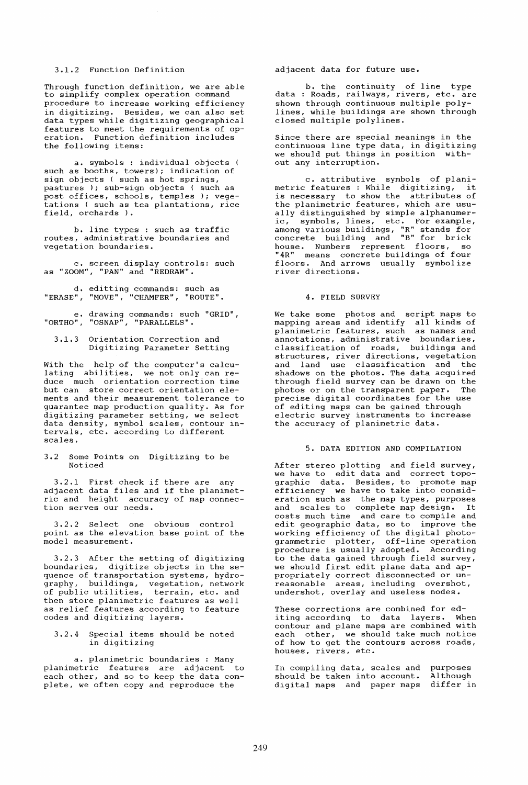## 3.1.2 Function Definition

Through function definition, we are able to simplify complex operation command procedure to increase working efficiency in digitizing. Besides, we can also set data types while digitizing geographical features to meet the requirements of operation. Function definition includes the following items:

a. symbols : individual objects ( such as booths, towers); indication of sign objects ( such as hot springs, pastures ); sub-sign objects ( such as post offices, schools, temples ); vegetations ( such as tea plantations, rice field, orchards ).

b. line types : such as traffic routes, administrative boundaries and vegetation boundaries.

c. screen display controls: such as "ZOOM", "PAN" and "REDRAW".

d. editting commands: such as "ERASE", "MOVE", "CHAMFER", "ROUTE".

e. drawing commands: such "GRID", "ORTHO", "OSNAP", "PARALLELS".

3.1.3 Orientation Correction and Digitizing Parameter Setting

with the help of the computer's calculating abilities, we not only can reduce much orientation correction time but can store correct orientation elements and their measurement tolerance to guarantee map production quality. As for digitizing parameter setting, we select data density, symbol scales, contour intervals, etc. according to different scales.

3.2 Some Points on Digitizing to be Noticed

3.2.1 First check if there are any 3.2.1 FILST CHECK IT CHELE are any<br>adjacent data files and if the planimetric and height accuracy of map connection serves our needs.

3.2.2 Select one obvious control point as the elevation base point of the model measurement.

3.2.3 After the setting of digitizing boundaries, digitize objects in the sequence of transportation systems, hydrography, buildings, vegetation, network of public utilities, terrain, etc. and then store planimetric features as well as relief features according to feature codes and digitizing layers.

### 3.2.4 Special items should be noted in digitizing

a. planimetric boundaries : Many planimetric features are adjacent to each other, and so to keep the data complete, we often copy and reproduce the

adjacent data for future use.

b. the continuity of line type data : Roads, railways, rivers, etc. are shown through continuous multiple polylines, while buildings are shown through closed multiple polylines.

Since there are special meanings in the continuous line type data, in digitizing we should put things in position without any interruption.

c. attributive symbols of planimetric features : While digitizing, it is necessary to show the attributes of the planimetric features, which are usually distinguished by simple alphanumeric, symbols, lines, etc. For example, among various buildings, "R" stands for concrete building and "B" for brick house. Numbers represent floors, so "4R" means concrete buildings of four floors. And arrows usually symbolize river directions.

# 4. FIELD SURVEY

We take some photos and script maps to mapping areas and identify all kinds of planimetric features, such as names and annotations, administrative boundaries, classification of roads, buildings and structures, river directions, vegetation and land use classification and the shadows on the photos. The data acquired through field survey can be drawn on the photos or on the transparent paper. The precise digital coordinates for the use of editing maps can be gained through electric survey instruments to increase the accuracy of planimetric data.

# 5. DATA EDITION AND COMPILATION

After stereo plotting and field survey, we have to edit data and correct topographic data. Besides, to promote map efficiency we have to take into consideration such as the map types, purposes eration such as the map types, purposes<br>and scales to complete map design. It costs much time and care to compile and edit geographic data, so to improve the working efficiency of the digital photoworking criterior, of the digital photo<br>grammetric plotter, off-line operation procedure is usually adopted. According to the data gained through field survey, we should first edit plane data and appropriately correct disconnected or unreasonable areas, including overshot, undershot, overlay and useless nodes.

These corrections are combined for editing according to data layers. When contour and plane maps are combined with each other, we should take much notice of how to get the contours across roads, houses, rivers, etc.

In compiling data, scales and should be taken into account. digital maps and paper maps purposes Although differ in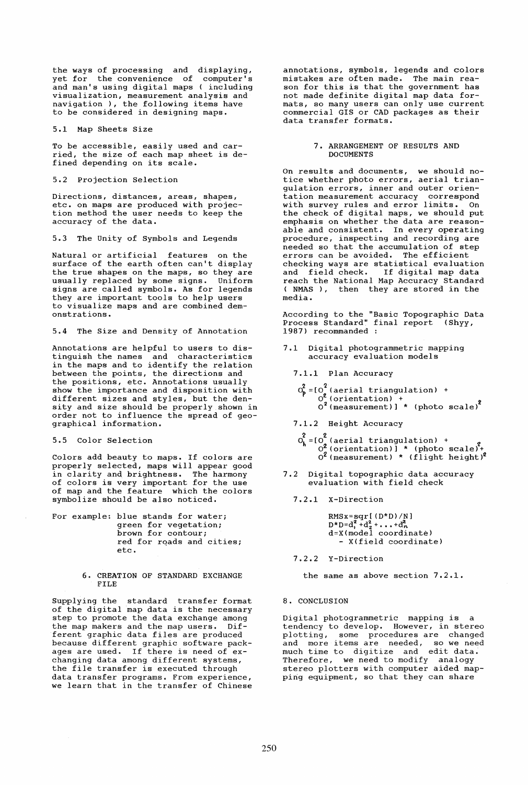the ways of processing and displaying, yet for the convenience of computer's and man's using digital maps ( including visualization, measurement analysis and navigation ), the following items have to be considered in designing maps.

5.1 Map Sheets Size

To be accessible, easily used and carried, the size of each map sheet is defined depending on its scale.

5.2 Projection Selection

Directions, distances, areas, shapes, etc. on maps are produced with projection method the user needs to keep the accuracy of the data.

5.3 The Unity of Symbols and Legends

Natural or artificial features on the surface of the earth often can't display the true shapes on the maps, so they are usually replaced by some signs. Uniform signs are called symbols. As for legends they are important tools to help users to visualize maps and are combined demonstrations.

5.4 The Size and Density of Annotation

Annotations are helpful to users to distinguish the names and characteristics in the maps and to identify the relation between the points, the directions and the positions, etc. Annotations usually show the importance and disposition with different sizes and styles, but the denxilled the sizes and styles, sat the dem order not to influence the spread of geographical information.

5.5 Color Selection

Colors add beauty to maps. If colors are properly selected, maps will appear good in clarity and brightness. The harmony of colors is very important for the use of map and the feature which the colors symbolize should be also noticed.

- For example: blue stands for water; green for vegetation; brown for contour; red for rqads and cities; etc.
	- 6. CREATION OF STANDARD EXCHANGE FILE

Supplying the standard transfer format of the digital map data is the necessary step to promote the data exchange among the map makers and the map users. Different graphic data files are produced because different graphic software packages are used. If there is need of exchanging data among different systems, the file transfer is executed through data transfer programs. From experience, we learn that in the transfer of Chinese annotations, symbols, legends and colors mistakes are often made. The main reason for this is that the government has not made definite digital map data formats, so many users can only use current commercial GIS or CAD packages as their data transfer formats.

> 7. ARRANGEMENT OF RESULTS AND DOCUMENTS

On results and documents, we should notice whether photo errors, aerial triangulation errors, inner and outer orientation measurement accuracy correspond with survey rules and error limits. On the check of digital maps, we should put emphasis on whether the data are reasonable and consistent. In every operating procedure, inspecting and recording are needed so that the accumulation of step errors can be avoided. The efficient checking ways are statistical evaluation and field check. If digital map data reach the National Map Accuracy Standard ( NMAS), then they are stored in the media.

According to the "Basic Topographic Data Process Standard" final report (Shyy, 1987) recommanded :

- 7.1 Digital photogrammetric mapping accuracy evaluation models
	- 7.1.1 Plan Accuracy
	- $O_p^2 = [O_s^2 \text{ (aerial triangulation)} +$  $0^2$  (orientation) +  $\qquad \qquad$  2  $0^2$  (measurement)] \* (photo scale)<sup>2</sup>

7.1.2 Height Accuracy

- .1.2 Height Accuracy<br> $O_b^2 = [O_a^2 \text{ (aerial triangulation) + } \frac{1}{2}]$  $0^2$  (orientation)] \* (photo scale)<sup>2</sup>+  $0<sup>2</sup>$  (measurement) \* (flight height)<sup>2</sup>
- 7.2 Digital topographic data accuracy evaluation with field check
	- 7.2.1 X-Direction

 $RMSx=sqrt([D*D)/N]$  $D^*D=d_1^2+d_2^2+\ldots+d_n^2$ d=X(model coordinate) - X(field coordinate)

7.2.2 Y-Direction

the same as above section 7.2.1.

8. CONCLUSION

Digital photogrammetric mapping is a tendency to develop. However, in stereo plotting, some procedures are changed and more items are needed, so we need much time to digitize and edit data. Therefore, we need to modify analogy stereo plotters with computer aided mapping equipment, so that they can share